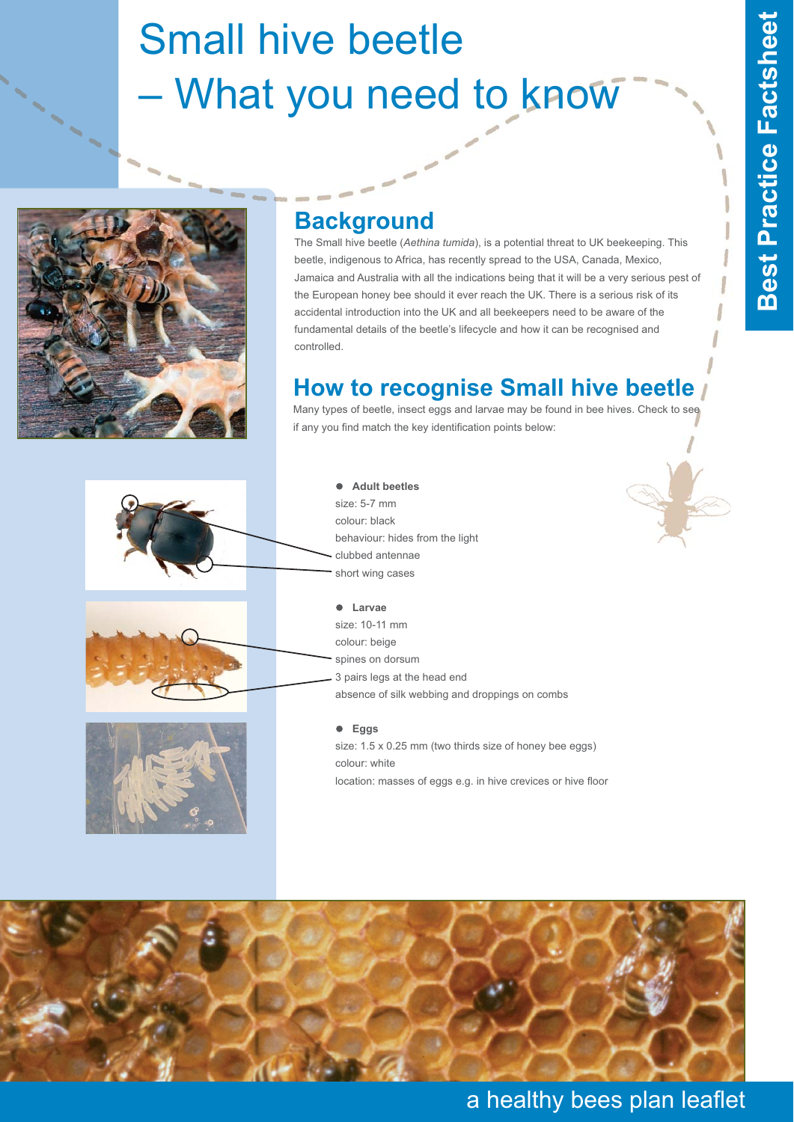# Small hive beetle – What you need to know



### **Background**

The Small hive beetle (*Aethina tumida*), is a potential threat to UK beekeeping. This beetle, indigenous to Africa, has recently spread to the USA, Canada, Mexico, Jamaica and Australia with all the indications being that it will be a very serious pest of the European honey bee should it ever reach the UK. There is a serious risk of its accidental introduction into the UK and all beekeepers need to be aware of the fundamental details of the beetle's lifecycle and how it can be recognised and controlled.

## **How to recognise Small hive beetle**

Many types of beetle, insect eggs and larvae may be found in bee hives. Check to see if any you find match the key identification points below:







#### $\bullet$  **Adult beetles**  size: 5-7 mm colour: black behaviour: hides from the light clubbed antennae short wing cases

- **Larvae** size: 10-11 mm colour: beige spines on dorsum 3 pairs legs at the head end absence of silk webbing and droppings on combs

#### - **Eggs**

size: 1.5 x 0.25 mm (two thirds size of honey bee eggs) colour: white location: masses of eggs e.g. in hive crevices or hive floor



#### a healthy bees plan leaflet